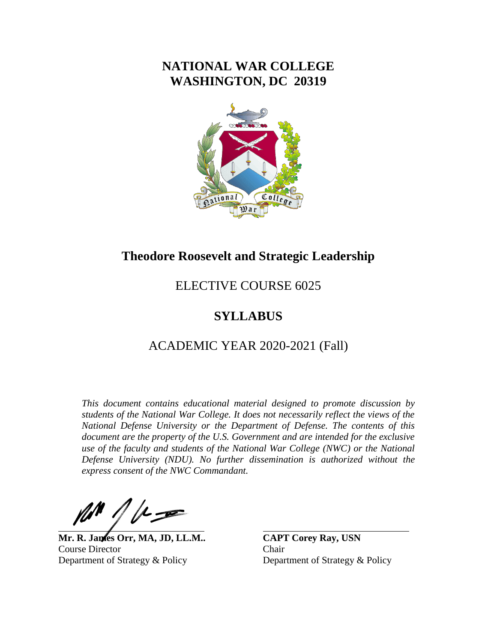# **NATIONAL WAR COLLEGE WASHINGTON, DC 20319**



# **Theodore Roosevelt and Strategic Leadership**

# ELECTIVE COURSE 6025

# **SYLLABUS**

# ACADEMIC YEAR 2020-2021 (Fall)

*This document contains educational material designed to promote discussion by students of the National War College. It does not necessarily reflect the views of the National Defense University or the Department of Defense. The contents of this document are the property of the U.S. Government and are intended for the exclusive use of the faculty and students of the National War College (NWC) or the National Defense University (NDU). No further dissemination is authorized without the express consent of the NWC Commandant.*

**Mr. R. James Orr, MA, JD, LL.M.. CAPT Corey Ray, USN** Course Director Chair Department of Strategy & Policy Department of Strategy & Policy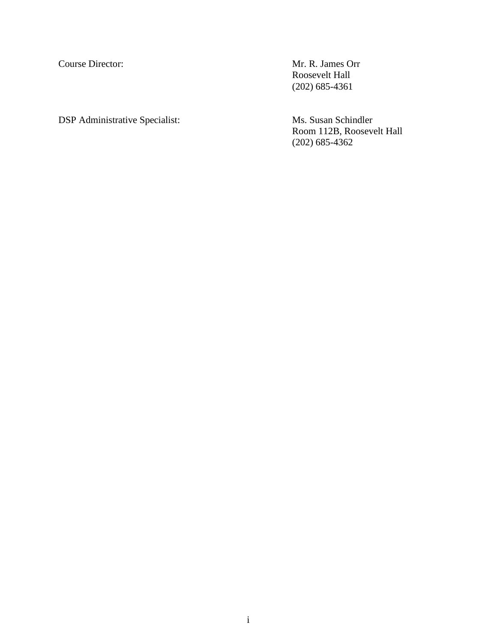Course Director: Mr. R. James Orr Roosevelt Hall (202) 685-4361

DSP Administrative Specialist: Ms. Susan Schindler Room 112B, Roosevelt Hall (202) 685-4362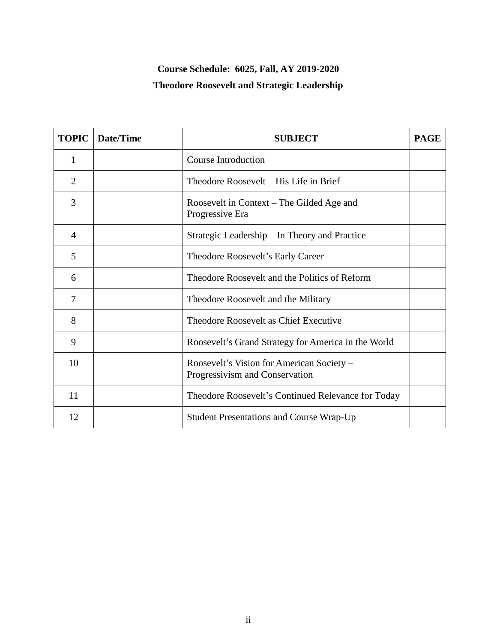# **Course Schedule: 6025, Fall, AY 2019-2020 Theodore Roosevelt and Strategic Leadership**

| <b>TOPIC</b>   | Date/Time | <b>SUBJECT</b>                                                              | <b>PAGE</b> |
|----------------|-----------|-----------------------------------------------------------------------------|-------------|
| 1              |           | <b>Course Introduction</b>                                                  |             |
| $\overline{2}$ |           | Theodore Roosevelt – His Life in Brief                                      |             |
| 3              |           | Roosevelt in Context – The Gilded Age and<br>Progressive Era                |             |
| $\overline{4}$ |           | Strategic Leadership – In Theory and Practice                               |             |
| 5              |           | Theodore Roosevelt's Early Career                                           |             |
| 6              |           | Theodore Roosevelt and the Politics of Reform                               |             |
| $\overline{7}$ |           | Theodore Roosevelt and the Military                                         |             |
| 8              |           | Theodore Roosevelt as Chief Executive                                       |             |
| 9              |           | Roosevelt's Grand Strategy for America in the World                         |             |
| 10             |           | Roosevelt's Vision for American Society –<br>Progressivism and Conservation |             |
| 11             |           | Theodore Roosevelt's Continued Relevance for Today                          |             |
| 12             |           | <b>Student Presentations and Course Wrap-Up</b>                             |             |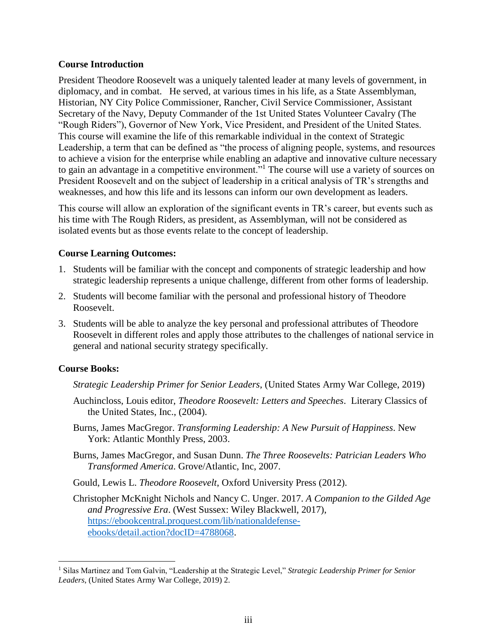## **Course Introduction**

President Theodore Roosevelt was a uniquely talented leader at many levels of government, in diplomacy, and in combat. He served, at various times in his life, as a State Assemblyman, Historian, NY City Police Commissioner, Rancher, Civil Service Commissioner, Assistant Secretary of the Navy, Deputy Commander of the 1st United States Volunteer Cavalry (The "Rough Riders"), Governor of New York, Vice President, and President of the United States. This course will examine the life of this remarkable individual in the context of Strategic Leadership, a term that can be defined as "the process of aligning people, systems, and resources to achieve a vision for the enterprise while enabling an adaptive and innovative culture necessary to gain an advantage in a competitive environment."<sup>1</sup> The course will use a variety of sources on President Roosevelt and on the subject of leadership in a critical analysis of TR's strengths and weaknesses, and how this life and its lessons can inform our own development as leaders.

This course will allow an exploration of the significant events in TR's career, but events such as his time with The Rough Riders, as president, as Assemblyman, will not be considered as isolated events but as those events relate to the concept of leadership.

## **Course Learning Outcomes:**

- 1. Students will be familiar with the concept and components of strategic leadership and how strategic leadership represents a unique challenge, different from other forms of leadership.
- 2. Students will become familiar with the personal and professional history of Theodore Roosevelt.
- 3. Students will be able to analyze the key personal and professional attributes of Theodore Roosevelt in different roles and apply those attributes to the challenges of national service in general and national security strategy specifically.

## **Course Books:**

 $\overline{a}$ 

- *Strategic Leadership Primer for Senior Leaders*, (United States Army War College, 2019)
- Auchincloss, Louis editor, *Theodore Roosevelt: Letters and Speeches*. Literary Classics of the United States, Inc., (2004).
- Burns, James MacGregor. *Transforming Leadership: A New Pursuit of Happiness*. New York: Atlantic Monthly Press, 2003.
- Burns, James MacGregor, and Susan Dunn. *The Three Roosevelts: Patrician Leaders Who Transformed America*. Grove/Atlantic, Inc, 2007.

Gould, Lewis L. *Theodore Roosevelt*, Oxford University Press (2012).

Christopher McKnight Nichols and Nancy C. Unger. 2017. *A Companion to the Gilded Age and Progressive Era*. (West Sussex: Wiley Blackwell, 2017), [https://ebookcentral.proquest.com/lib/nationaldefense](https://ebookcentral.proquest.com/lib/nationaldefense-ebooks/detail.action?docID=4788068)[ebooks/detail.action?docID=4788068.](https://ebookcentral.proquest.com/lib/nationaldefense-ebooks/detail.action?docID=4788068)

<sup>1</sup> Silas Martinez and Tom Galvin, "Leadership at the Strategic Level," *Strategic Leadership Primer for Senior Leaders*, (United States Army War College, 2019) 2.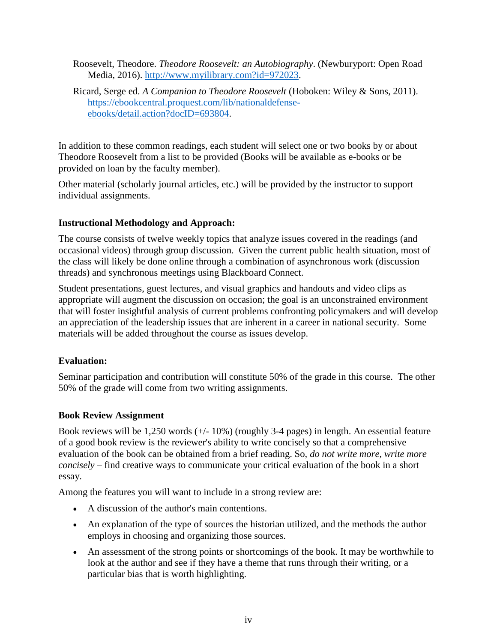- Roosevelt, Theodore. *Theodore Roosevelt: an Autobiography*. (Newburyport: Open Road Media, 2016). [http://www.myilibrary.com?id=972023.](http://www.myilibrary.com/?id=972023)
- Ricard, Serge ed. *A Companion to Theodore Roosevelt* (Hoboken: Wiley & Sons, 2011). [https://ebookcentral.proquest.com/lib/nationaldefense](https://ebookcentral.proquest.com/lib/nationaldefense-ebooks/detail.action?docID=693804)[ebooks/detail.action?docID=693804.](https://ebookcentral.proquest.com/lib/nationaldefense-ebooks/detail.action?docID=693804)

In addition to these common readings, each student will select one or two books by or about Theodore Roosevelt from a list to be provided (Books will be available as e-books or be provided on loan by the faculty member).

Other material (scholarly journal articles, etc.) will be provided by the instructor to support individual assignments.

# **Instructional Methodology and Approach:**

The course consists of twelve weekly topics that analyze issues covered in the readings (and occasional videos) through group discussion. Given the current public health situation, most of the class will likely be done online through a combination of asynchronous work (discussion threads) and synchronous meetings using Blackboard Connect.

Student presentations, guest lectures, and visual graphics and handouts and video clips as appropriate will augment the discussion on occasion; the goal is an unconstrained environment that will foster insightful analysis of current problems confronting policymakers and will develop an appreciation of the leadership issues that are inherent in a career in national security. Some materials will be added throughout the course as issues develop.

# **Evaluation:**

Seminar participation and contribution will constitute 50% of the grade in this course. The other 50% of the grade will come from two writing assignments.

# **Book Review Assignment**

Book reviews will be 1,250 words (+/- 10%) (roughly 3-4 pages) in length. An essential feature of a good book review is the reviewer's ability to write concisely so that a comprehensive evaluation of the book can be obtained from a brief reading. So, *do not write more, write more concisely* – find creative ways to communicate your critical evaluation of the book in a short essay.

Among the features you will want to include in a strong review are:

- A discussion of the author's main contentions.
- An explanation of the type of sources the historian utilized, and the methods the author employs in choosing and organizing those sources.
- An assessment of the strong points or shortcomings of the book. It may be worthwhile to look at the author and see if they have a theme that runs through their writing, or a particular bias that is worth highlighting.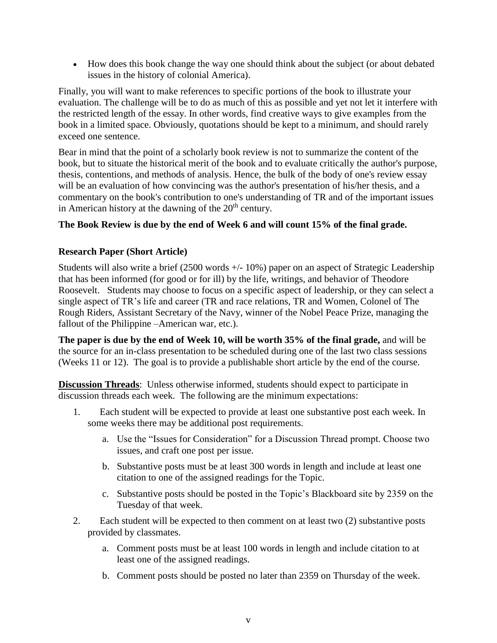How does this book change the way one should think about the subject (or about debated issues in the history of colonial America).

Finally, you will want to make references to specific portions of the book to illustrate your evaluation. The challenge will be to do as much of this as possible and yet not let it interfere with the restricted length of the essay. In other words, find creative ways to give examples from the book in a limited space. Obviously, quotations should be kept to a minimum, and should rarely exceed one sentence.

Bear in mind that the point of a scholarly book review is not to summarize the content of the book, but to situate the historical merit of the book and to evaluate critically the author's purpose, thesis, contentions, and methods of analysis. Hence, the bulk of the body of one's review essay will be an evaluation of how convincing was the author's presentation of his/her thesis, and a commentary on the book's contribution to one's understanding of TR and of the important issues in American history at the dawning of the  $20<sup>th</sup>$  century.

# **The Book Review is due by the end of Week 6 and will count 15% of the final grade.**

## **Research Paper (Short Article)**

Students will also write a brief (2500 words +/- 10%) paper on an aspect of Strategic Leadership that has been informed (for good or for ill) by the life, writings, and behavior of Theodore Roosevelt. Students may choose to focus on a specific aspect of leadership, or they can select a single aspect of TR's life and career (TR and race relations, TR and Women, Colonel of The Rough Riders, Assistant Secretary of the Navy, winner of the Nobel Peace Prize, managing the fallout of the Philippine –American war, etc.).

**The paper is due by the end of Week 10, will be worth 35% of the final grade,** and will be the source for an in-class presentation to be scheduled during one of the last two class sessions (Weeks 11 or 12). The goal is to provide a publishable short article by the end of the course.

**Discussion Threads**: Unless otherwise informed, students should expect to participate in discussion threads each week. The following are the minimum expectations:

- 1. Each student will be expected to provide at least one substantive post each week. In some weeks there may be additional post requirements.
	- a. Use the "Issues for Consideration" for a Discussion Thread prompt. Choose two issues, and craft one post per issue.
	- b. Substantive posts must be at least 300 words in length and include at least one citation to one of the assigned readings for the Topic.
	- c. Substantive posts should be posted in the Topic's Blackboard site by 2359 on the Tuesday of that week.
- 2. Each student will be expected to then comment on at least two (2) substantive posts provided by classmates.
	- a. Comment posts must be at least 100 words in length and include citation to at least one of the assigned readings.
	- b. Comment posts should be posted no later than 2359 on Thursday of the week.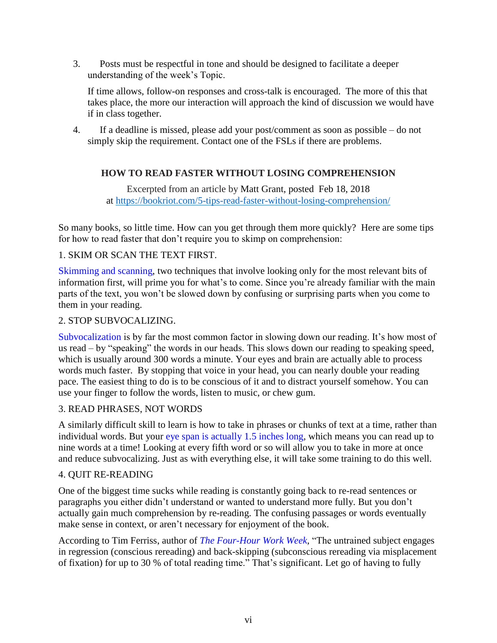3. Posts must be respectful in tone and should be designed to facilitate a deeper understanding of the week's Topic.

If time allows, follow-on responses and cross-talk is encouraged. The more of this that takes place, the more our interaction will approach the kind of discussion we would have if in class together.

4. If a deadline is missed, please add your post/comment as soon as possible – do not simply skip the requirement. Contact one of the FSLs if there are problems.

# **HOW TO READ FASTER WITHOUT LOSING COMPREHENSION**

Excerpted from an article by [Matt Grant,](https://bookriot.com/author/matt/) posted Feb 18, 2018 at<https://bookriot.com/5-tips-read-faster-without-losing-comprehension/>

So many books, so little time. How can you get through them more quickly? Here are some tips for how to read faster that don't require you to skimp on comprehension:

# 1. SKIM OR SCAN THE TEXT FIRST.

Skimming and scanning, two techniques that involve looking only for the most relevant bits of information first, will prime you for what's to come. Since you're already familiar with the main parts of the text, you won't be slowed down by confusing or surprising parts when you come to them in your reading.

## 2. STOP SUBVOCALIZING.

[Subvocalization](https://www.irisreading.com/speed-reading-tips-5-ways-to-minimize-subvocalization/) is by far the most common factor in slowing down our reading. It's how most of us read – by "speaking" the words in our heads. This slows down our reading to speaking speed, which is usually around 300 words a minute. Your eyes and brain are actually able to process words much faster. By stopping that voice in your head, you can nearly double your reading pace. The easiest thing to do is to be conscious of it and to distract yourself somehow. You can use your finger to follow the words, listen to music, or chew gum.

# 3. READ PHRASES, NOT WORDS

A similarly difficult skill to learn is how to take in phrases or chunks of text at a time, rather than individual words. But your [eye span is actually 1.5 inches long,](https://lifehacker.com/speed-read-by-looking-at-the-words-in-the-middle-of-sen-1182890358) which means you can read up to nine words at a time! Looking at every fifth word or so will allow you to take in more at once and reduce subvocalizing. Just as with everything else, it will take some training to do this well.

## 4. QUIT RE-READING

One of the biggest time sucks while reading is constantly going back to re-read sentences or paragraphs you either didn't understand or wanted to understand more fully. But you don't actually gain much comprehension by re-reading. The confusing passages or words eventually make sense in context, or aren't necessary for enjoyment of the book.

According to Tim Ferriss, author of *[The Four-Hour Work Week,](http://www.amazon.com/gp/product/0307465357/ref=as_li_tf_il?ie=UTF8&tag=boorio-20&linkCode=as2&camp=217145&creative=399349&creativeASIN=0307465357)* "The untrained subject engages in regression (conscious rereading) and back-skipping (subconscious rereading via misplacement of fixation) for up to 30 % of total reading time." That's significant. Let go of having to fully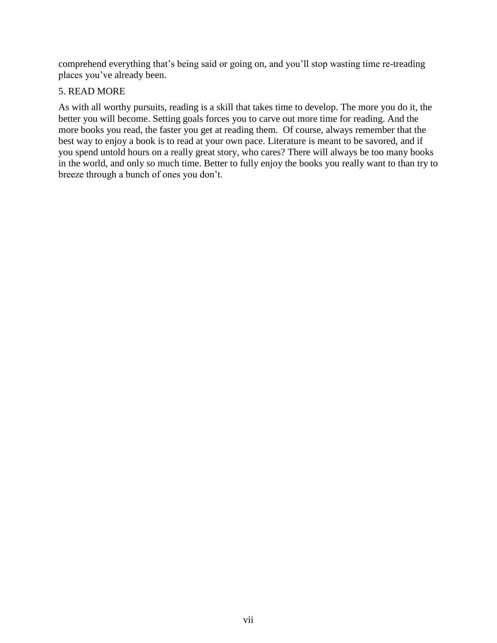comprehend everything that's being said or going on, and you'll stop wasting time re-treading places you've already been.

# 5. READ MORE

As with all worthy pursuits, reading is a skill that takes time to develop. The more you do it, the better you will become. Setting goals forces you to carve out more time for reading. And the more books you read, the faster you get at reading them. Of course, always remember that the best way to enjoy a book is to read at your own pace. Literature is meant to be savored, and if you spend untold hours on a really great story, who cares? There will always be too many books in the world, and only so much time. Better to fully enjoy the books you really want to than try to breeze through a bunch of ones you don't.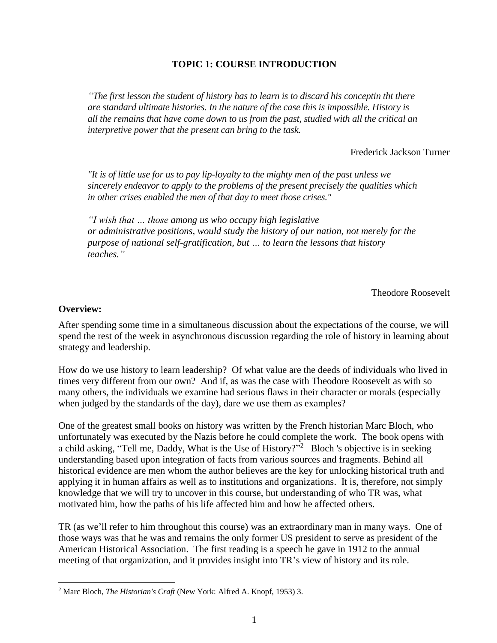# **TOPIC 1: COURSE INTRODUCTION**

*"The first lesson the student of history has to learn is to discard his conceptin tht there are standard ultimate histories. In the nature of the case this is impossible. History is all the remains that have come down to us from the past, studied with all the critical an interpretive power that the present can bring to the task.*

Frederick Jackson Turner

*"It is of little use for us to pay lip-loyalty to the mighty men of the past unless we sincerely endeavor to apply to the problems of the present precisely the qualities which in other crises enabled the men of that day to meet those crises."*

*"I wish that … those among us who occupy high legislative or administrative positions, would study the history of our nation, not merely for the purpose of national self-gratification, but … to learn the lessons that history teaches."*

Theodore Roosevelt

#### **Overview:**

 $\overline{a}$ 

After spending some time in a simultaneous discussion about the expectations of the course, we will spend the rest of the week in asynchronous discussion regarding the role of history in learning about strategy and leadership.

How do we use history to learn leadership? Of what value are the deeds of individuals who lived in times very different from our own? And if, as was the case with Theodore Roosevelt as with so many others, the individuals we examine had serious flaws in their character or morals (especially when judged by the standards of the day), dare we use them as examples?

One of the greatest small books on history was written by the French historian Marc Bloch, who unfortunately was executed by the Nazis before he could complete the work. The book opens with a child asking, "Tell me, Daddy, What is the Use of History?"<sup>2</sup> Bloch 's objective is in seeking understanding based upon integration of facts from various sources and fragments. Behind all historical evidence are men whom the author believes are the key for unlocking historical truth and applying it in human affairs as well as to institutions and organizations. It is, therefore, not simply knowledge that we will try to uncover in this course, but understanding of who TR was, what motivated him, how the paths of his life affected him and how he affected others.

TR (as we'll refer to him throughout this course) was an extraordinary man in many ways. One of those ways was that he was and remains the only former US president to serve as president of the American Historical Association. The first reading is a speech he gave in 1912 to the annual meeting of that organization, and it provides insight into TR's view of history and its role.

<sup>2</sup> Marc Bloch, *The Historian's Craft* (New York: Alfred A. Knopf, 1953) 3.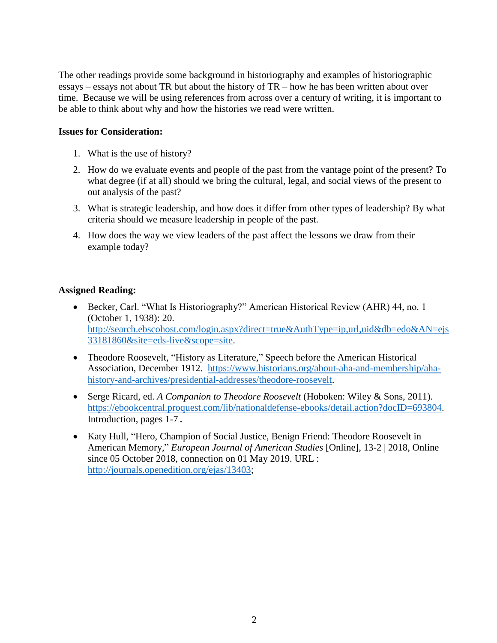The other readings provide some background in historiography and examples of historiographic essays – essays not about TR but about the history of TR – how he has been written about over time. Because we will be using references from across over a century of writing, it is important to be able to think about why and how the histories we read were written.

## **Issues for Consideration:**

- 1. What is the use of history?
- 2. How do we evaluate events and people of the past from the vantage point of the present? To what degree (if at all) should we bring the cultural, legal, and social views of the present to out analysis of the past?
- 3. What is strategic leadership, and how does it differ from other types of leadership? By what criteria should we measure leadership in people of the past.
- 4. How does the way we view leaders of the past affect the lessons we draw from their example today?

## **Assigned Reading:**

- Becker, Carl. "What Is Historiography?" American Historical Review (AHR) 44, no. 1 (October 1, 1938): 20. [http://search.ebscohost.com/login.aspx?direct=true&AuthType=ip,url,uid&db=edo&AN=ejs](http://search.ebscohost.com/login.aspx?direct=true&AuthType=ip,url,uid&db=edo&AN=ejs33181860&site=eds-live&scope=site) [33181860&site=eds-live&scope=site.](http://search.ebscohost.com/login.aspx?direct=true&AuthType=ip,url,uid&db=edo&AN=ejs33181860&site=eds-live&scope=site)
- Theodore Roosevelt, "History as Literature," Speech before the American Historical Association, December 1912. [https://www.historians.org/about-aha-and-membership/aha](https://www.historians.org/about-aha-and-membership/aha-history-and-archives/presidential-addresses/theodore-roosevelt)[history-and-archives/presidential-addresses/theodore-roosevelt.](https://www.historians.org/about-aha-and-membership/aha-history-and-archives/presidential-addresses/theodore-roosevelt)
- Serge Ricard, ed. *A Companion to Theodore Roosevelt* (Hoboken: Wiley & Sons, 2011). [https://ebookcentral.proquest.com/lib/nationaldefense-ebooks/detail.action?docID=693804.](https://ebookcentral.proquest.com/lib/nationaldefense-ebooks/detail.action?docID=693804) Introduction, pages 1-7**.**
- Katy Hull, "Hero, Champion of Social Justice, Benign Friend: Theodore Roosevelt in American Memory," *European Journal of American Studies* [Online], 13-2 | 2018, Online since 05 October 2018, connection on 01 May 2019. URL : [http://journals.openedition.org/ejas/13403;](http://journals.openedition.org/ejas/13403)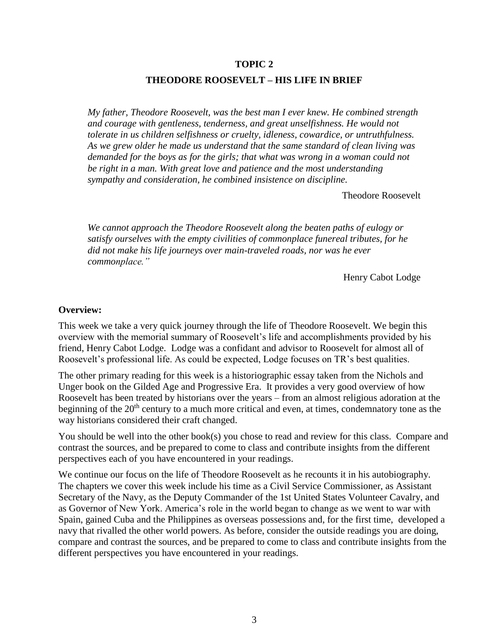#### **THEODORE ROOSEVELT – HIS LIFE IN BRIEF**

*My father, Theodore Roosevelt, was the best man I ever knew. He combined strength and courage with gentleness, tenderness, and great unselfishness. He would not tolerate in us children selfishness or cruelty, idleness, cowardice, or untruthfulness. As we grew older he made us understand that the same standard of clean living was demanded for the boys as for the girls; that what was wrong in a woman could not be right in a man. With great love and patience and the most understanding sympathy and consideration, he combined insistence on discipline.*

Theodore Roosevelt

*We cannot approach the Theodore Roosevelt along the beaten paths of eulogy or satisfy ourselves with the empty civilities of commonplace funereal tributes, for he did not make his life journeys over main-traveled roads, nor was he ever commonplace."*

Henry Cabot Lodge

#### **Overview:**

This week we take a very quick journey through the life of Theodore Roosevelt. We begin this overview with the memorial summary of Roosevelt's life and accomplishments provided by his friend, Henry Cabot Lodge. Lodge was a confidant and advisor to Roosevelt for almost all of Roosevelt's professional life. As could be expected, Lodge focuses on TR's best qualities.

The other primary reading for this week is a historiographic essay taken from the Nichols and Unger book on the Gilded Age and Progressive Era. It provides a very good overview of how Roosevelt has been treated by historians over the years – from an almost religious adoration at the beginning of the  $20<sup>th</sup>$  century to a much more critical and even, at times, condemnatory tone as the way historians considered their craft changed.

You should be well into the other book(s) you chose to read and review for this class. Compare and contrast the sources, and be prepared to come to class and contribute insights from the different perspectives each of you have encountered in your readings.

We continue our focus on the life of Theodore Roosevelt as he recounts it in his autobiography. The chapters we cover this week include his time as a Civil Service Commissioner, as Assistant Secretary of the Navy, as the Deputy Commander of the 1st United States Volunteer Cavalry, and as Governor of New York. America's role in the world began to change as we went to war with Spain, gained Cuba and the Philippines as overseas possessions and, for the first time, developed a navy that rivalled the other world powers. As before, consider the outside readings you are doing, compare and contrast the sources, and be prepared to come to class and contribute insights from the different perspectives you have encountered in your readings.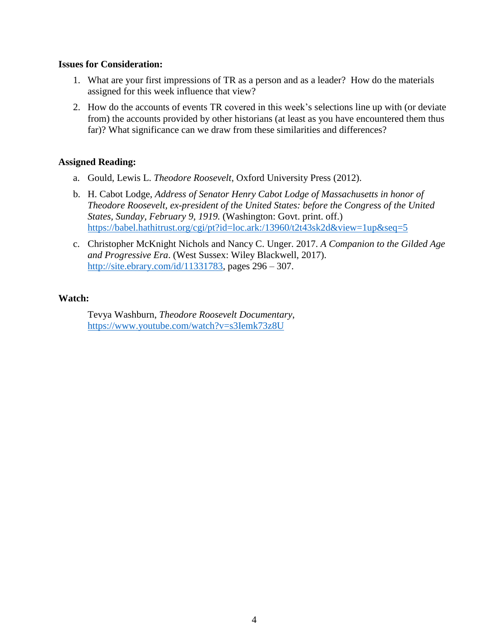#### **Issues for Consideration:**

- 1. What are your first impressions of TR as a person and as a leader? How do the materials assigned for this week influence that view?
- 2. How do the accounts of events TR covered in this week's selections line up with (or deviate from) the accounts provided by other historians (at least as you have encountered them thus far)? What significance can we draw from these similarities and differences?

## **Assigned Reading:**

- a. Gould, Lewis L. *Theodore Roosevelt*, Oxford University Press (2012).
- b. H. Cabot Lodge, *Address of Senator Henry Cabot Lodge of Massachusetts in honor of Theodore Roosevelt, ex-president of the United States: before the Congress of the United States, Sunday, February 9, 1919.* (Washington: Govt. print. off.) <https://babel.hathitrust.org/cgi/pt?id=loc.ark:/13960/t2t43sk2d&view=1up&seq=5>
- c. Christopher McKnight Nichols and Nancy C. Unger. 2017. *A Companion to the Gilded Age and Progressive Era*. (West Sussex: Wiley Blackwell, 2017). [http://site.ebrary.com/id/11331783,](http://site.ebrary.com/id/11331783) pages 296 – 307.

## **Watch:**

Tevya Washburn, *Theodore Roosevelt Documentary*, <https://www.youtube.com/watch?v=s3Iemk73z8U>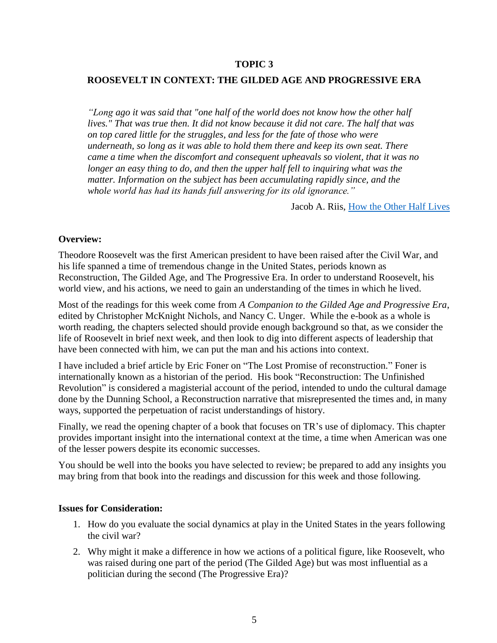#### **ROOSEVELT IN CONTEXT: THE GILDED AGE AND PROGRESSIVE ERA**

*"Long ago it was said that "one half of the world does not know how the other half lives." That was true then. It did not know because it did not care. The half that was on top cared little for the struggles, and less for the fate of those who were underneath, so long as it was able to hold them there and keep its own seat. There came a time when the discomfort and consequent upheavals so violent, that it was no*  longer an easy thing to do, and then the upper half fell to inquiring what was the *matter. Information on the subject has been accumulating rapidly since, and the whole world has had its hands full answering for its old ignorance."*

Jacob A. Riis, [How the Other Half Lives](https://www.goodreads.com/work/quotes/163917)

#### **Overview:**

Theodore Roosevelt was the first American president to have been raised after the Civil War, and his life spanned a time of tremendous change in the United States, periods known as Reconstruction, The Gilded Age, and The Progressive Era. In order to understand Roosevelt, his world view, and his actions, we need to gain an understanding of the times in which he lived.

Most of the readings for this week come from *A Companion to the Gilded Age and Progressive Era*, edited by Christopher McKnight Nichols, and Nancy C. Unger. While the e-book as a whole is worth reading, the chapters selected should provide enough background so that, as we consider the life of Roosevelt in brief next week, and then look to dig into different aspects of leadership that have been connected with him, we can put the man and his actions into context.

I have included a brief article by Eric Foner on "The Lost Promise of reconstruction." Foner is internationally known as a historian of the period. His book "Reconstruction: The Unfinished Revolution" is considered a magisterial account of the period, intended to undo the cultural damage done by the Dunning School, a Reconstruction narrative that misrepresented the times and, in many ways, supported the perpetuation of racist understandings of history.

Finally, we read the opening chapter of a book that focuses on TR's use of diplomacy. This chapter provides important insight into the international context at the time, a time when American was one of the lesser powers despite its economic successes.

You should be well into the books you have selected to review; be prepared to add any insights you may bring from that book into the readings and discussion for this week and those following.

#### **Issues for Consideration:**

- 1. How do you evaluate the social dynamics at play in the United States in the years following the civil war?
- 2. Why might it make a difference in how we actions of a political figure, like Roosevelt, who was raised during one part of the period (The Gilded Age) but was most influential as a politician during the second (The Progressive Era)?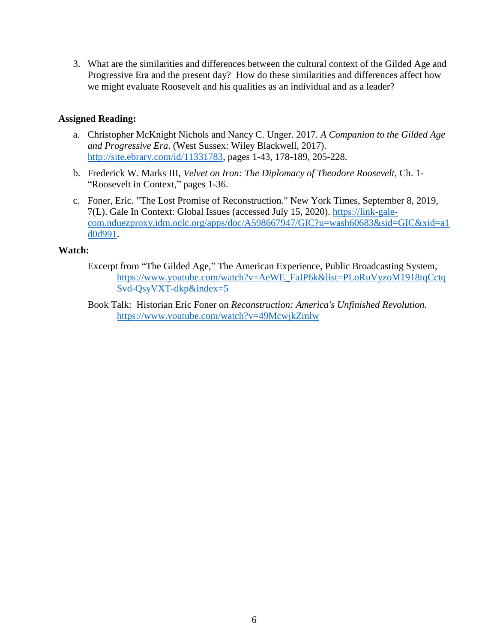3. What are the similarities and differences between the cultural context of the Gilded Age and Progressive Era and the present day? How do these similarities and differences affect how we might evaluate Roosevelt and his qualities as an individual and as a leader?

## **Assigned Reading:**

- a. Christopher McKnight Nichols and Nancy C. Unger. 2017. *A Companion to the Gilded Age and Progressive Era*. (West Sussex: Wiley Blackwell, 2017). [http://site.ebrary.com/id/11331783,](http://site.ebrary.com/id/11331783) pages 1-43, 178-189, 205-228.
- b. Frederick W. Marks III, *Velvet on Iron: The Diplomacy of Theodore Roosevelt*, Ch. 1- "Roosevelt in Context," pages 1-36.
- c. Foner, Eric. "The Lost Promise of Reconstruction." New York Times, September 8, 2019, 7(L). Gale In Context: Global Issues (accessed July 15, 2020). [https://link-gale](https://link-gale-com.nduezproxy.idm.oclc.org/apps/doc/A598667947/GIC?u=wash60683&sid=GIC&xid=a1d0d991)[com.nduezproxy.idm.oclc.org/apps/doc/A598667947/GIC?u=wash60683&sid=GIC&xid=a1](https://link-gale-com.nduezproxy.idm.oclc.org/apps/doc/A598667947/GIC?u=wash60683&sid=GIC&xid=a1d0d991) [d0d991.](https://link-gale-com.nduezproxy.idm.oclc.org/apps/doc/A598667947/GIC?u=wash60683&sid=GIC&xid=a1d0d991)

## **Watch:**

- Excerpt from "The Gilded Age," The American Experience, Public Broadcasting System, [https://www.youtube.com/watch?v=AeWE\\_FaIP6k&list=PLoRuVyzoM1918tqCctq](https://www.youtube.com/watch?v=AeWE_FaIP6k&list=PLoRuVyzoM1918tqCctqSvd-QsyVXT-dkp&index=5) [Svd-QsyVXT-dkp&index=5](https://www.youtube.com/watch?v=AeWE_FaIP6k&list=PLoRuVyzoM1918tqCctqSvd-QsyVXT-dkp&index=5)
- Book Talk: Historian Eric Foner on *Reconstruction: America's Unfinished Revolution.* <https://www.youtube.com/watch?v=49McwjkZmlw>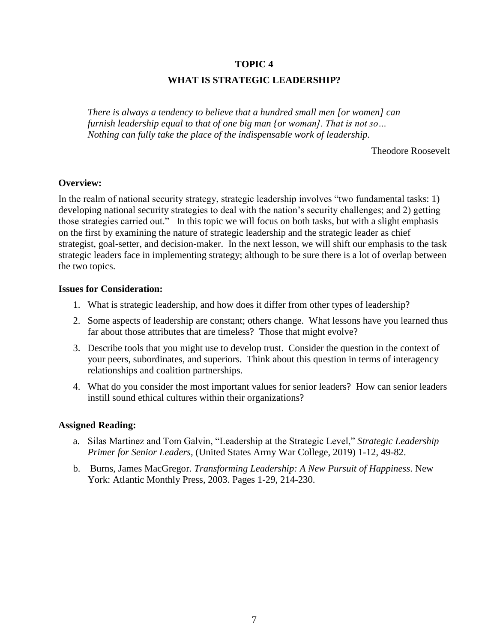## **WHAT IS STRATEGIC LEADERSHIP?**

*There is always a tendency to believe that a hundred small men [or women] can furnish leadership equal to that of one big man {or woman]. That is not so… Nothing can fully take the place of the indispensable work of leadership.*

Theodore Roosevelt

## **Overview:**

In the realm of national security strategy, strategic leadership involves "two fundamental tasks: 1) developing national security strategies to deal with the nation's security challenges; and 2) getting those strategies carried out." In this topic we will focus on both tasks, but with a slight emphasis on the first by examining the nature of strategic leadership and the strategic leader as chief strategist, goal-setter, and decision-maker. In the next lesson, we will shift our emphasis to the task strategic leaders face in implementing strategy; although to be sure there is a lot of overlap between the two topics.

#### **Issues for Consideration:**

- 1. What is strategic leadership, and how does it differ from other types of leadership?
- 2. Some aspects of leadership are constant; others change. What lessons have you learned thus far about those attributes that are timeless? Those that might evolve?
- 3. Describe tools that you might use to develop trust. Consider the question in the context of your peers, subordinates, and superiors. Think about this question in terms of interagency relationships and coalition partnerships.
- 4. What do you consider the most important values for senior leaders? How can senior leaders instill sound ethical cultures within their organizations?

## **Assigned Reading:**

- a. Silas Martinez and Tom Galvin, "Leadership at the Strategic Level," *Strategic Leadership Primer for Senior Leaders*, (United States Army War College, 2019) 1-12, 49-82.
- b. Burns, James MacGregor. *Transforming Leadership: A New Pursuit of Happiness*. New York: Atlantic Monthly Press, 2003. Pages 1-29, 214-230.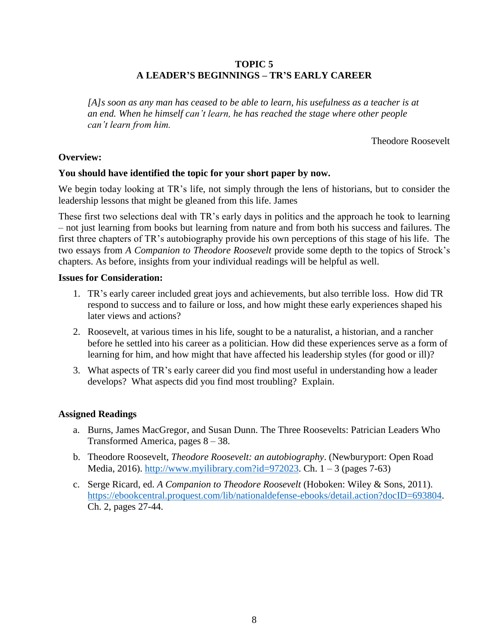## **TOPIC 5 A LEADER'S BEGINNINGS – TR'S EARLY CAREER**

*[A]s soon as any man has ceased to be able to learn, his usefulness as a teacher is at an end. When he himself can't learn, he has reached the stage where other people can't learn from him.*

Theodore Roosevelt

## **Overview:**

#### **You should have identified the topic for your short paper by now.**

We begin today looking at TR's life, not simply through the lens of historians, but to consider the leadership lessons that might be gleaned from this life. James

These first two selections deal with TR's early days in politics and the approach he took to learning – not just learning from books but learning from nature and from both his success and failures. The first three chapters of TR's autobiography provide his own perceptions of this stage of his life. The two essays from *A Companion to Theodore Roosevelt* provide some depth to the topics of Strock's chapters. As before, insights from your individual readings will be helpful as well.

#### **Issues for Consideration:**

- 1. TR's early career included great joys and achievements, but also terrible loss. How did TR respond to success and to failure or loss, and how might these early experiences shaped his later views and actions?
- 2. Roosevelt, at various times in his life, sought to be a naturalist, a historian, and a rancher before he settled into his career as a politician. How did these experiences serve as a form of learning for him, and how might that have affected his leadership styles (for good or ill)?
- 3. What aspects of TR's early career did you find most useful in understanding how a leader develops? What aspects did you find most troubling? Explain.

## **Assigned Readings**

- a. Burns, James MacGregor, and Susan Dunn. The Three Roosevelts: Patrician Leaders Who Transformed America, pages 8 – 38.
- b. Theodore Roosevelt, *Theodore Roosevelt: an autobiography*. (Newburyport: Open Road Media, 2016). [http://www.myilibrary.com?id=972023.](http://www.myilibrary.com/?id=972023) Ch.  $1 - 3$  (pages 7-63)
- c. Serge Ricard, ed. *A Companion to Theodore Roosevelt* (Hoboken: Wiley & Sons, 2011). [https://ebookcentral.proquest.com/lib/nationaldefense-ebooks/detail.action?docID=693804.](https://ebookcentral.proquest.com/lib/nationaldefense-ebooks/detail.action?docID=693804) Ch. 2, pages 27-44.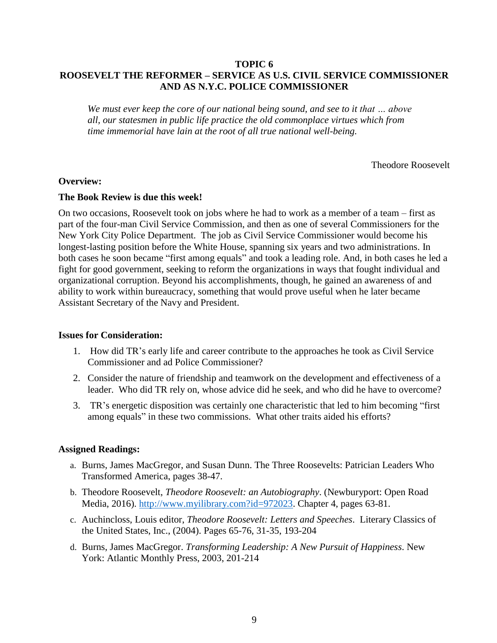## **TOPIC 6 ROOSEVELT THE REFORMER – SERVICE AS U.S. CIVIL SERVICE COMMISSIONER AND AS N.Y.C. POLICE COMMISSIONER**

*We must ever keep the core of our national being sound, and see to it that … above all, our statesmen in public life practice the old commonplace virtues which from time immemorial have lain at the root of all true national well-being.*

Theodore Roosevelt

#### **Overview:**

#### **The Book Review is due this week!**

On two occasions, Roosevelt took on jobs where he had to work as a member of a team – first as part of the four-man Civil Service Commission, and then as one of several Commissioners for the New York City Police Department. The job as Civil Service Commissioner would become his longest-lasting position before the White House, spanning six years and two administrations. In both cases he soon became "first among equals" and took a leading role. And, in both cases he led a fight for good government, seeking to reform the organizations in ways that fought individual and organizational corruption. Beyond his accomplishments, though, he gained an awareness of and ability to work within bureaucracy, something that would prove useful when he later became Assistant Secretary of the Navy and President.

#### **Issues for Consideration:**

- 1. How did TR's early life and career contribute to the approaches he took as Civil Service Commissioner and ad Police Commissioner?
- 2. Consider the nature of friendship and teamwork on the development and effectiveness of a leader. Who did TR rely on, whose advice did he seek, and who did he have to overcome?
- 3. TR's energetic disposition was certainly one characteristic that led to him becoming "first among equals" in these two commissions. What other traits aided his efforts?

#### **Assigned Readings:**

- a. Burns, James MacGregor, and Susan Dunn. The Three Roosevelts: Patrician Leaders Who Transformed America, pages 38-47.
- b. Theodore Roosevelt, *Theodore Roosevelt: an Autobiography*. (Newburyport: Open Road Media, 2016). [http://www.myilibrary.com?id=972023.](http://www.myilibrary.com/?id=972023) Chapter 4, pages 63-81.
- c. Auchincloss, Louis editor, *Theodore Roosevelt: Letters and Speeches*. Literary Classics of the United States, Inc., (2004). Pages 65-76, 31-35, 193-204
- d. Burns, James MacGregor. *Transforming Leadership: A New Pursuit of Happiness*. New York: Atlantic Monthly Press, 2003, 201-214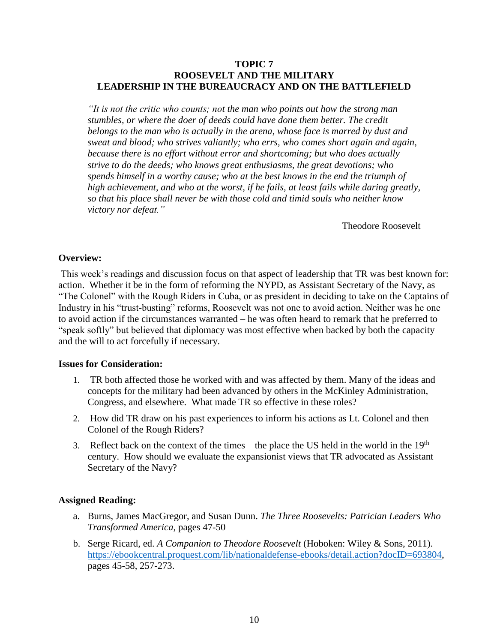## **TOPIC 7 ROOSEVELT AND THE MILITARY LEADERSHIP IN THE BUREAUCRACY AND ON THE BATTLEFIELD**

*"It is not the critic who counts; not the man who points out how the strong man stumbles, or where the doer of deeds could have done them better. The credit belongs to the man who is actually in the arena, whose face is marred by dust and sweat and blood; who strives valiantly; who errs, who comes short again and again, because there is no effort without error and shortcoming; but who does actually strive to do the deeds; who knows great enthusiasms, the great devotions; who spends himself in a worthy cause; who at the best knows in the end the triumph of high achievement, and who at the worst, if he fails, at least fails while daring greatly, so that his place shall never be with those cold and timid souls who neither know victory nor defeat."*

Theodore Roosevelt

#### **Overview:**

This week's readings and discussion focus on that aspect of leadership that TR was best known for: action. Whether it be in the form of reforming the NYPD, as Assistant Secretary of the Navy, as "The Colonel" with the Rough Riders in Cuba, or as president in deciding to take on the Captains of Industry in his "trust-busting" reforms, Roosevelt was not one to avoid action. Neither was he one to avoid action if the circumstances warranted – he was often heard to remark that he preferred to "speak softly" but believed that diplomacy was most effective when backed by both the capacity and the will to act forcefully if necessary.

#### **Issues for Consideration:**

- 1. TR both affected those he worked with and was affected by them. Many of the ideas and concepts for the military had been advanced by others in the McKinley Administration, Congress, and elsewhere. What made TR so effective in these roles?
- 2. How did TR draw on his past experiences to inform his actions as Lt. Colonel and then Colonel of the Rough Riders?
- 3. Reflect back on the context of the times the place the US held in the world in the  $19<sup>th</sup>$ century. How should we evaluate the expansionist views that TR advocated as Assistant Secretary of the Navy?

#### **Assigned Reading:**

- a. Burns, James MacGregor, and Susan Dunn. *The Three Roosevelts: Patrician Leaders Who Transformed America*, pages 47-50
- b. Serge Ricard, ed. *A Companion to Theodore Roosevelt* (Hoboken: Wiley & Sons, 2011). [https://ebookcentral.proquest.com/lib/nationaldefense-ebooks/detail.action?docID=693804,](https://ebookcentral.proquest.com/lib/nationaldefense-ebooks/detail.action?docID=693804) pages 45-58, 257-273.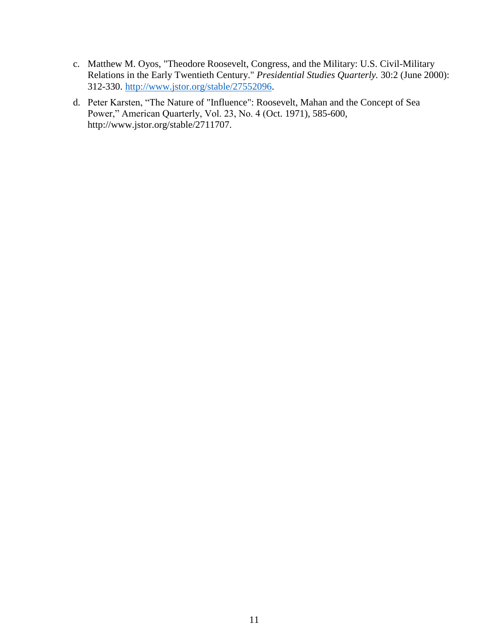- c. Matthew M. Oyos, "Theodore Roosevelt, Congress, and the Military: U.S. Civil-Military Relations in the Early Twentieth Century." *Presidential Studies Quarterly.* 30:2 (June 2000): 312-330. [http://www.jstor.org/stable/27552096.](http://www.jstor.org/stable/27552096)
- d. Peter Karsten, "The Nature of "Influence": Roosevelt, Mahan and the Concept of Sea Power," American Quarterly, Vol. 23, No. 4 (Oct. 1971), 585-600, http://www.jstor.org/stable/2711707.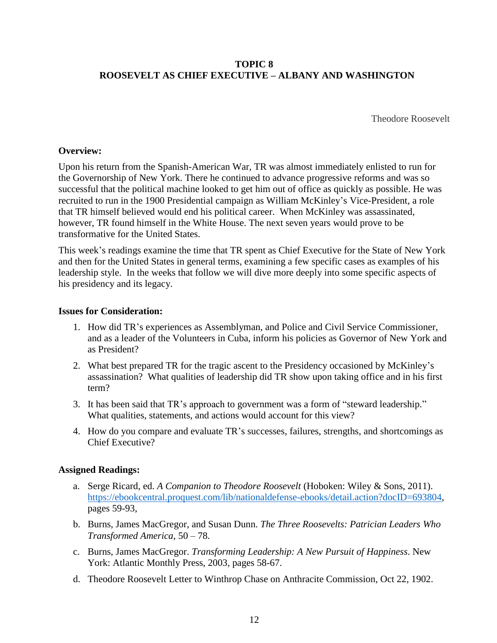# **TOPIC 8 ROOSEVELT AS CHIEF EXECUTIVE – ALBANY AND WASHINGTON**

Theodore Roosevelt

## **Overview:**

Upon his return from the Spanish-American War, TR was almost immediately enlisted to run for the Governorship of New York. There he continued to advance progressive reforms and was so successful that the political machine looked to get him out of office as quickly as possible. He was recruited to run in the 1900 Presidential campaign as William McKinley's Vice-President, a role that TR himself believed would end his political career. When McKinley was assassinated, however, TR found himself in the White House. The next seven years would prove to be transformative for the United States.

This week's readings examine the time that TR spent as Chief Executive for the State of New York and then for the United States in general terms, examining a few specific cases as examples of his leadership style. In the weeks that follow we will dive more deeply into some specific aspects of his presidency and its legacy.

## **Issues for Consideration:**

- 1. How did TR's experiences as Assemblyman, and Police and Civil Service Commissioner, and as a leader of the Volunteers in Cuba, inform his policies as Governor of New York and as President?
- 2. What best prepared TR for the tragic ascent to the Presidency occasioned by McKinley's assassination? What qualities of leadership did TR show upon taking office and in his first term?
- 3. It has been said that TR's approach to government was a form of "steward leadership." What qualities, statements, and actions would account for this view?
- 4. How do you compare and evaluate TR's successes, failures, strengths, and shortcomings as Chief Executive?

## **Assigned Readings:**

- a. Serge Ricard, ed. *A Companion to Theodore Roosevelt* (Hoboken: Wiley & Sons, 2011). [https://ebookcentral.proquest.com/lib/nationaldefense-ebooks/detail.action?docID=693804,](https://ebookcentral.proquest.com/lib/nationaldefense-ebooks/detail.action?docID=693804) pages 59-93,
- b. Burns, James MacGregor, and Susan Dunn. *The Three Roosevelts: Patrician Leaders Who Transformed America*, 50 – 78.
- c. Burns, James MacGregor. *Transforming Leadership: A New Pursuit of Happiness*. New York: Atlantic Monthly Press, 2003, pages 58-67.
- d. Theodore Roosevelt Letter to Winthrop Chase on Anthracite Commission, Oct 22, 1902.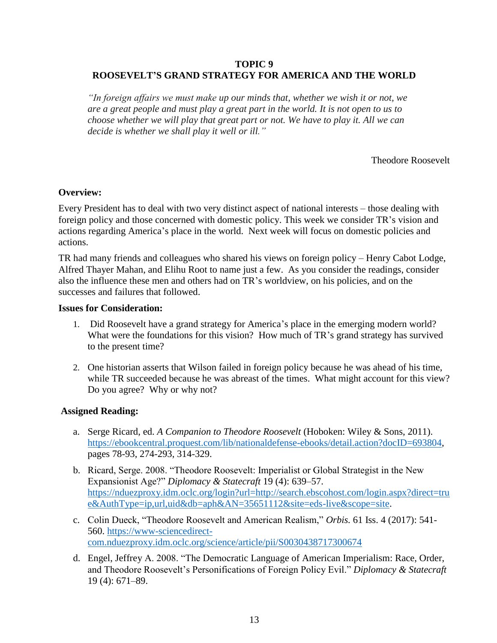## **TOPIC 9 ROOSEVELT'S GRAND STRATEGY FOR AMERICA AND THE WORLD**

*"In foreign affairs we must make up our minds that, whether we wish it or not, we are a great people and must play a great part in the world. It is not open to us to choose whether we will play that great part or not. We have to play it. All we can decide is whether we shall play it well or ill."*

Theodore Roosevelt

## **Overview:**

Every President has to deal with two very distinct aspect of national interests – those dealing with foreign policy and those concerned with domestic policy. This week we consider TR's vision and actions regarding America's place in the world. Next week will focus on domestic policies and actions.

TR had many friends and colleagues who shared his views on foreign policy – Henry Cabot Lodge, Alfred Thayer Mahan, and Elihu Root to name just a few. As you consider the readings, consider also the influence these men and others had on TR's worldview, on his policies, and on the successes and failures that followed.

#### **Issues for Consideration:**

- 1. Did Roosevelt have a grand strategy for America's place in the emerging modern world? What were the foundations for this vision? How much of TR's grand strategy has survived to the present time?
- 2. One historian asserts that Wilson failed in foreign policy because he was ahead of his time, while TR succeeded because he was abreast of the times. What might account for this view? Do you agree? Why or why not?

## **Assigned Reading:**

- a. Serge Ricard, ed. *A Companion to Theodore Roosevelt* (Hoboken: Wiley & Sons, 2011). [https://ebookcentral.proquest.com/lib/nationaldefense-ebooks/detail.action?docID=693804,](https://ebookcentral.proquest.com/lib/nationaldefense-ebooks/detail.action?docID=693804) pages 78-93, 274-293, 314-329.
- b. Ricard, Serge. 2008. "Theodore Roosevelt: Imperialist or Global Strategist in the New Expansionist Age?" *Diplomacy & Statecraft* 19 (4): 639–57. [https://nduezproxy.idm.oclc.org/login?url=http://search.ebscohost.com/login.aspx?direct=tru](https://nduezproxy.idm.oclc.org/login?url=http://search.ebscohost.com/login.aspx?direct=true&AuthType=ip,url,uid&db=aph&AN=35651112&site=eds-live&scope=site) [e&AuthType=ip,url,uid&db=aph&AN=35651112&site=eds-live&scope=site.](https://nduezproxy.idm.oclc.org/login?url=http://search.ebscohost.com/login.aspx?direct=true&AuthType=ip,url,uid&db=aph&AN=35651112&site=eds-live&scope=site)
- c. Colin Dueck, "Theodore Roosevelt and American Realism," *Orbis.* 61 Iss. 4 (2017): 541- 560. [https://www-sciencedirect](https://www-sciencedirect-com.nduezproxy.idm.oclc.org/science/article/pii/S0030438717300674)[com.nduezproxy.idm.oclc.org/science/article/pii/S0030438717300674](https://www-sciencedirect-com.nduezproxy.idm.oclc.org/science/article/pii/S0030438717300674)
- d. Engel, Jeffrey A. 2008. "The Democratic Language of American Imperialism: Race, Order, and Theodore Roosevelt's Personifications of Foreign Policy Evil." *Diplomacy & Statecraft* 19 (4): 671–89.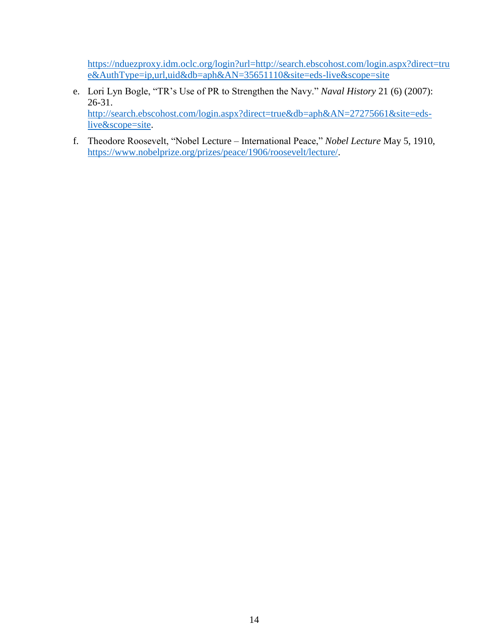[https://nduezproxy.idm.oclc.org/login?url=http://search.ebscohost.com/login.aspx?direct=tru](https://nduezproxy.idm.oclc.org/login?url=http://search.ebscohost.com/login.aspx?direct=true&AuthType=ip,url,uid&db=aph&AN=35651110&site=eds-live&scope=site) [e&AuthType=ip,url,uid&db=aph&AN=35651110&site=eds-live&scope=site](https://nduezproxy.idm.oclc.org/login?url=http://search.ebscohost.com/login.aspx?direct=true&AuthType=ip,url,uid&db=aph&AN=35651110&site=eds-live&scope=site)

- e. Lori Lyn Bogle, "TR's Use of PR to Strengthen the Navy." *Naval History* 21 (6) (2007): 26-31. [http://search.ebscohost.com/login.aspx?direct=true&db=aph&AN=27275661&site=eds](http://search.ebscohost.com/login.aspx?direct=true&db=aph&AN=27275661&site=eds-live&scope=site)[live&scope=site.](http://search.ebscohost.com/login.aspx?direct=true&db=aph&AN=27275661&site=eds-live&scope=site)
- f. Theodore Roosevelt, "Nobel Lecture International Peace," *Nobel Lecture* May 5, 1910, [https://www.nobelprize.org/prizes/peace/1906/roosevelt/lecture/.](https://www.nobelprize.org/prizes/peace/1906/roosevelt/lecture/)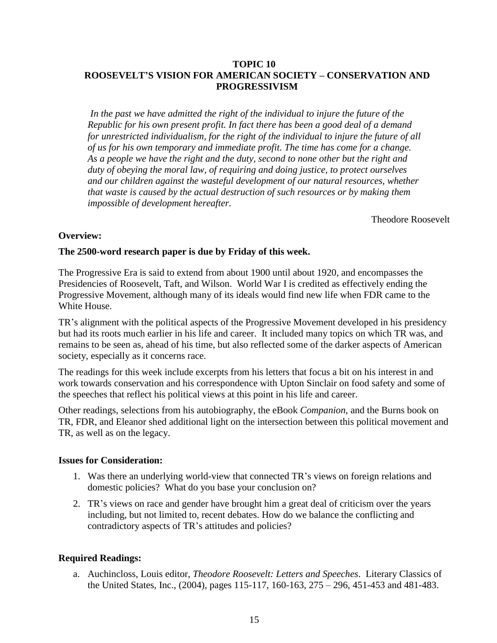## **TOPIC 10 ROOSEVELT'S VISION FOR AMERICAN SOCIETY – CONSERVATION AND PROGRESSIVISM**

*In the past we have admitted the right of the individual to injure the future of the Republic for his own present profit. In fact there has been a good deal of a demand for unrestricted individualism, for the right of the individual to injure the future of all of us for his own temporary and immediate profit. The time has come for a change. As a people we have the right and the duty, second to none other but the right and duty of obeying the moral law, of requiring and doing justice, to protect ourselves and our children against the wasteful development of our natural resources, whether that waste is caused by the actual destruction of such resources or by making them impossible of development hereafter.*

Theodore Roosevelt

## **Overview:**

## **The 2500-word research paper is due by Friday of this week.**

The Progressive Era is said to extend from about 1900 until about 1920, and encompasses the Presidencies of Roosevelt, Taft, and Wilson. World War I is credited as effectively ending the Progressive Movement, although many of its ideals would find new life when FDR came to the White House.

TR's alignment with the political aspects of the Progressive Movement developed in his presidency but had its roots much earlier in his life and career. It included many topics on which TR was, and remains to be seen as, ahead of his time, but also reflected some of the darker aspects of American society, especially as it concerns race.

The readings for this week include excerpts from his letters that focus a bit on his interest in and work towards conservation and his correspondence with Upton Sinclair on food safety and some of the speeches that reflect his political views at this point in his life and career.

Other readings, selections from his autobiography, the eBook *Companion*, and the Burns book on TR, FDR, and Eleanor shed additional light on the intersection between this political movement and TR, as well as on the legacy.

## **Issues for Consideration:**

- 1. Was there an underlying world-view that connected TR's views on foreign relations and domestic policies? What do you base your conclusion on?
- 2. TR's views on race and gender have brought him a great deal of criticism over the years including, but not limited to, recent debates. How do we balance the conflicting and contradictory aspects of TR's attitudes and policies?

# **Required Readings:**

a. Auchincloss, Louis editor, *Theodore Roosevelt: Letters and Speeches*. Literary Classics of the United States, Inc., (2004), pages 115-117, 160-163, 275 – 296, 451-453 and 481-483.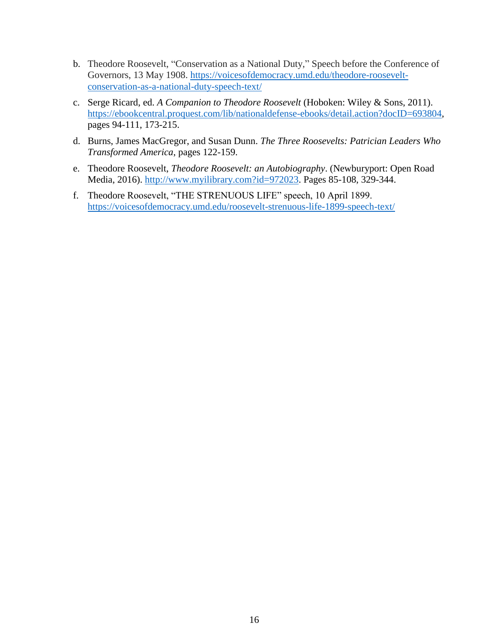- b. Theodore Roosevelt, "Conservation as a National Duty," Speech before the Conference of Governors, 13 May 1908. [https://voicesofdemocracy.umd.edu/theodore-roosevelt](https://voicesofdemocracy.umd.edu/theodore-roosevelt-conservation-as-a-national-duty-speech-text/)[conservation-as-a-national-duty-speech-text/](https://voicesofdemocracy.umd.edu/theodore-roosevelt-conservation-as-a-national-duty-speech-text/)
- c. Serge Ricard, ed. *A Companion to Theodore Roosevelt* (Hoboken: Wiley & Sons, 2011). [https://ebookcentral.proquest.com/lib/nationaldefense-ebooks/detail.action?docID=693804,](https://ebookcentral.proquest.com/lib/nationaldefense-ebooks/detail.action?docID=693804) pages 94-111, 173-215.
- d. Burns, James MacGregor, and Susan Dunn. *The Three Roosevelts: Patrician Leaders Who Transformed America*, pages 122-159.
- e. Theodore Roosevelt, *Theodore Roosevelt: an Autobiography*. (Newburyport: Open Road Media, 2016). [http://www.myilibrary.com?id=972023.](http://www.myilibrary.com/?id=972023) Pages 85-108, 329-344.
- f. Theodore Roosevelt, "THE STRENUOUS LIFE" speech, 10 April 1899. <https://voicesofdemocracy.umd.edu/roosevelt-strenuous-life-1899-speech-text/>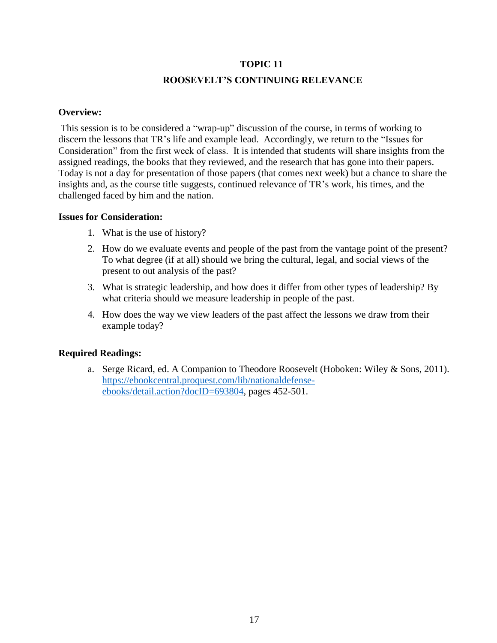# **ROOSEVELT'S CONTINUING RELEVANCE**

#### **Overview:**

This session is to be considered a "wrap-up" discussion of the course, in terms of working to discern the lessons that TR's life and example lead. Accordingly, we return to the "Issues for Consideration" from the first week of class. It is intended that students will share insights from the assigned readings, the books that they reviewed, and the research that has gone into their papers. Today is not a day for presentation of those papers (that comes next week) but a chance to share the insights and, as the course title suggests, continued relevance of TR's work, his times, and the challenged faced by him and the nation.

#### **Issues for Consideration:**

- 1. What is the use of history?
- 2. How do we evaluate events and people of the past from the vantage point of the present? To what degree (if at all) should we bring the cultural, legal, and social views of the present to out analysis of the past?
- 3. What is strategic leadership, and how does it differ from other types of leadership? By what criteria should we measure leadership in people of the past.
- 4. How does the way we view leaders of the past affect the lessons we draw from their example today?

## **Required Readings:**

a. Serge Ricard, ed. A Companion to Theodore Roosevelt (Hoboken: Wiley & Sons, 2011). [https://ebookcentral.proquest.com/lib/nationaldefense](https://ebookcentral.proquest.com/lib/nationaldefense-ebooks/detail.action?docID=693804)[ebooks/detail.action?docID=693804,](https://ebookcentral.proquest.com/lib/nationaldefense-ebooks/detail.action?docID=693804) pages 452-501.